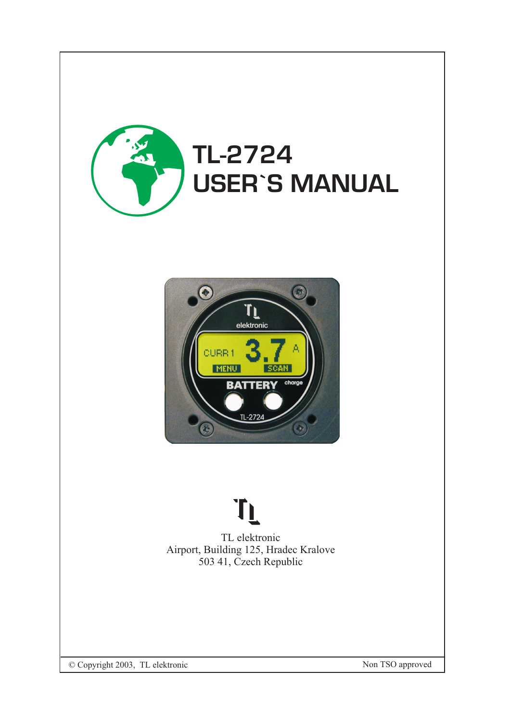



# TL

TL elektronic Airport, Building 125, Hradec Kralove 503 41, Czech Republic

© Copyright 2003, TL elektronic Non TSO approved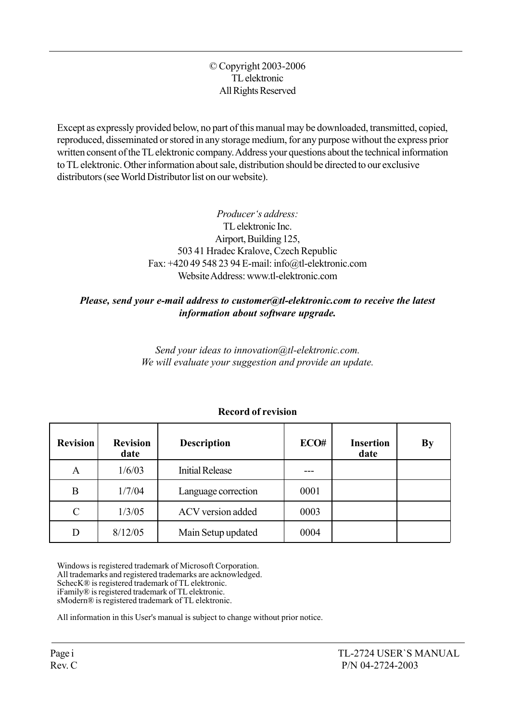#### © Copyright 2003-2006 TL elektronic All Rights Reserved

Except as expressly provided below, no part of this manual may be downloaded, transmitted, copied, reproduced, disseminated or stored in any storage medium, for any purpose without the express prior written consent of the TL elektronic company. Address your questions about the technical information to TL elektronic. Other information about sale, distribution should be directed to our exclusive distributors (see World Distributor list on our website).

> Producer's address: TL elektronic Inc. Airport, Building 125, 503 41 Hradec Kralove, Czech Republic Fax: +420 49 548 23 94 E-mail: info@tl-elektronic.com Website Address: www.tl-elektronic.com

#### Please, send your e-mail address to customer@tl-elektronic.com to receive the latest information about software upgrade.

Send your ideas to innovation@tl-elektronic.com. We will evaluate your suggestion and provide an update.

| <b>Revision</b> | <b>Revision</b><br>date | <b>Description</b>     | ECO# | <b>Insertion</b><br>date | By |
|-----------------|-------------------------|------------------------|------|--------------------------|----|
| A               | 1/6/03                  | <b>Initial Release</b> |      |                          |    |
| B               | 1/7/04                  | Language correction    | 0001 |                          |    |
| $\mathcal{C}$   | 1/3/05                  | ACV version added      | 0003 |                          |    |
| D               | 8/12/05                 | Main Setup updated     | 0004 |                          |    |

## Record of revision

Windows is registered trademark of Microsoft Corporation. All trademarks and registered trademarks are acknowledged. SchecK® is registered trademark of TL elektronic. iFamilyÆ is registered trademark of TL elektronic. sModern® is registered trademark of TL elektronic.

All information in this User's manual is subject to change without prior notice.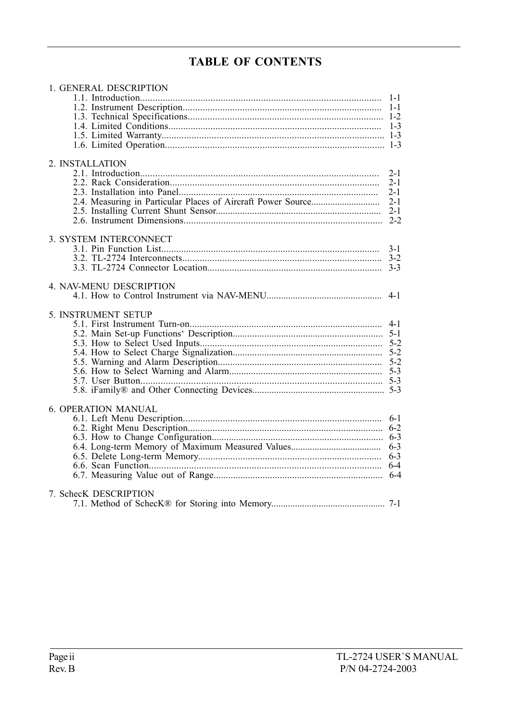## **TABLE OF CONTENTS**

| 1. GENERAL DESCRIPTION     |         |
|----------------------------|---------|
|                            | $1 - 1$ |
|                            |         |
|                            |         |
|                            |         |
|                            |         |
|                            |         |
|                            |         |
| 2. INSTALLATION            |         |
|                            | $2 - 1$ |
|                            | $2-1$   |
|                            | $2 - 1$ |
|                            | $2 - 1$ |
|                            | $2 - 1$ |
|                            |         |
|                            |         |
| 3. SYSTEM INTERCONNECT     |         |
|                            | $3-1$   |
|                            |         |
|                            |         |
| 4. NAV-MENU DESCRIPTION    |         |
|                            | $4 - 1$ |
|                            |         |
| 5. INSTRUMENT SETUP        |         |
|                            |         |
|                            |         |
|                            |         |
|                            |         |
|                            |         |
|                            |         |
|                            |         |
|                            |         |
|                            |         |
| <b>6. OPERATION MANUAL</b> |         |
|                            | $6-1$   |
|                            |         |
|                            |         |
|                            |         |
|                            | $6 - 3$ |
|                            |         |
|                            |         |
|                            |         |
| 7. SchecK DESCRIPTION      |         |
|                            |         |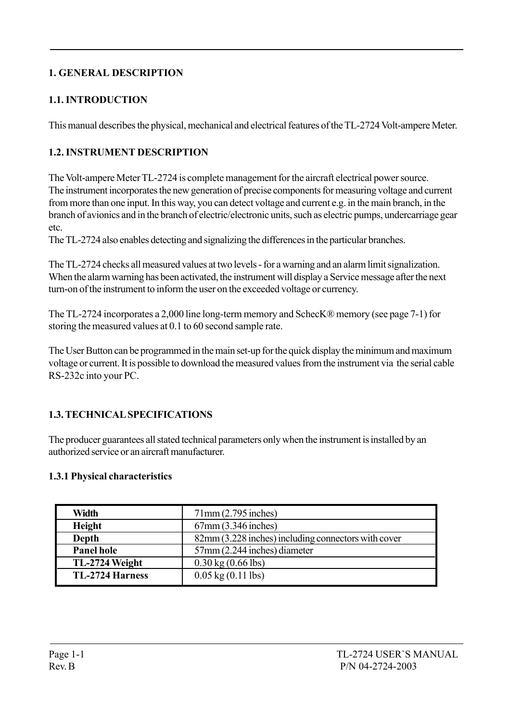## 1. GENERAL DESCRIPTION

## 1.1. INTRODUCTION

This manual describes the physical, mechanical and electrical features of the TL-2724 Volt-ampere Meter.

## 1.2. INSTRUMENT DESCRIPTION

The Volt-ampere Meter TL-2724 is complete management for the aircraft electrical power source. The instrument incorporates the new generation of precise components for measuring voltage and current from more than one input. In this way, you can detect voltage and current e.g. in the main branch, in the branch of avionics and in the branch of electric/electronic units, such as electric pumps, undercarriage gear etc.

The TL-2724 also enables detecting and signalizing the differences in the particular branches.

The TL-2724 checks all measured values at two levels - for a warning and an alarm limit signalization. When the alarm warning has been activated, the instrument will display a Service message after the next turn-on of the instrument to inform the user on the exceeded voltage or currency.

The TL-2724 incorporates a 2,000 line long-term memory and SchecK® memory (see page 7-1) for storing the measured values at 0.1 to 60 second sample rate.

The User Button can be programmed in the main set-up for the quick display the minimum and maximum voltage or current. It is possible to download the measured values from the instrument via the serial cable RS-232c into your PC.

## 1.3. TECHNICAL SPECIFICATIONS

The producer guarantees all stated technical parameters only when the instrument is installed by an authorized service or an aircraft manufacturer.

#### 1.3.1 Physical characteristics

| Width                  | $71$ mm $(2.795$ inches)                            |
|------------------------|-----------------------------------------------------|
| <b>Height</b>          | 67mm (3.346 inches)                                 |
| <b>Depth</b>           | 82mm (3.228 inches) including connectors with cover |
| <b>Panel hole</b>      | 57mm (2.244 inches) diameter                        |
| TL-2724 Weight         | $0.30 \text{ kg} (0.66 \text{ lbs})$                |
| <b>TL-2724 Harness</b> | $0.05 \text{ kg} (0.11 \text{ lbs})$                |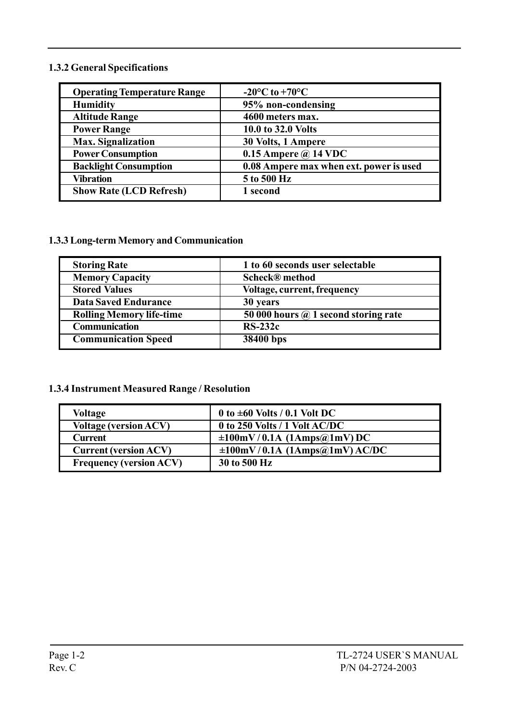#### 1.3.2 General Specifications

| <b>Operating Temperature Range</b> | $-20^{\circ}$ C to $+70^{\circ}$ C      |
|------------------------------------|-----------------------------------------|
| <b>Humidity</b>                    | 95% non-condensing                      |
| <b>Altitude Range</b>              | 4600 meters max.                        |
| <b>Power Range</b>                 | 10.0 to 32.0 Volts                      |
| <b>Max. Signalization</b>          | 30 Volts, 1 Ampere                      |
| <b>Power Consumption</b>           | 0.15 Ampere $\omega$ 14 VDC             |
| <b>Backlight Consumption</b>       | 0.08 Ampere max when ext. power is used |
| <b>Vibration</b>                   | 5 to 500 Hz                             |
| <b>Show Rate (LCD Refresh)</b>     | 1 second                                |

#### 1.3.3 Long-term Memory and Communication

| <b>Storing Rate</b>             | 1 to 60 seconds user selectable             |
|---------------------------------|---------------------------------------------|
| <b>Memory Capacity</b>          | <b>Scheck®</b> method                       |
| <b>Stored Values</b>            | Voltage, current, frequency                 |
| <b>Data Saved Endurance</b>     | 30 years                                    |
| <b>Rolling Memory life-time</b> | 50 000 hours $\omega$ 1 second storing rate |
| <b>Communication</b>            | $RS-232c$                                   |
| <b>Communication Speed</b>      | 38400 bps                                   |

#### 1.3.4 Instrument Measured Range / Resolution

| Voltage                        | 0 to $\pm 60$ Volts / 0.1 Volt DC   |
|--------------------------------|-------------------------------------|
| <b>Voltage (version ACV)</b>   | 0 to 250 Volts / 1 Volt AC/DC       |
| <b>Current</b>                 | $\pm 100$ mV/0.1A (1Amps@1mV)DC     |
| <b>Current (version ACV)</b>   | $\pm 100$ mV/0.1A (1Amps@1mV) AC/DC |
| <b>Frequency (version ACV)</b> | 30 to 500 Hz                        |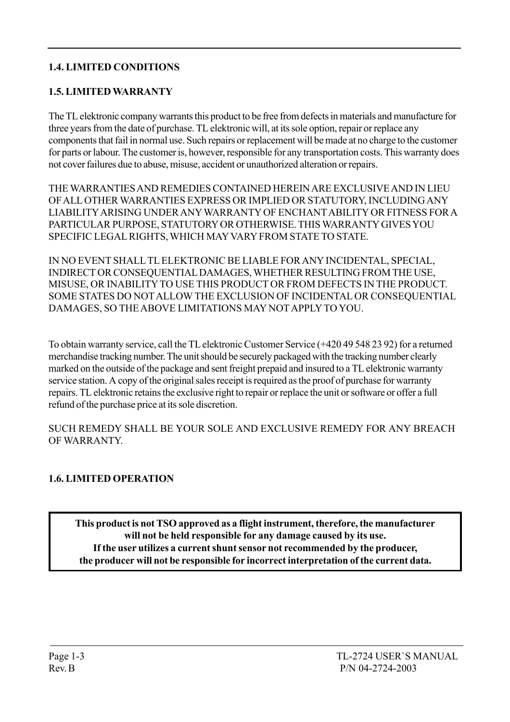## 1.4. LIMITED CONDITIONS

## 1.5. LIMITED WARRANTY

The TL elektronic company warrants this product to be free from defects in materials and manufacture for three years from the date of purchase. TL elektronic will, at its sole option, repair or replace any components that fail in normal use. Such repairs or replacement will be made at no charge to the customer for parts or labour. The customer is, however, responsible for any transportation costs. This warranty does not cover failures due to abuse, misuse, accident or unauthorized alteration or repairs.

THE WARRANTIES AND REMEDIES CONTAINED HEREIN ARE EXCLUSIVE AND IN LIEU OF ALL OTHER WARRANTIES EXPRESS OR IMPLIED OR STATUTORY, INCLUDING ANY LIABILITY ARISING UNDER ANY WARRANTY OF ENCHANT ABILITY OR FITNESS FOR A PARTICULAR PURPOSE, STATUTORY OR OTHERWISE. THIS WARRANTY GIVES YOU SPECIFIC LEGAL RIGHTS, WHICH MAY VARY FROM STATE TO STATE.

IN NO EVENT SHALL TL ELEKTRONIC BE LIABLE FOR ANY INCIDENTAL, SPECIAL, INDIRECT OR CONSEQUENTIAL DAMAGES, WHETHER RESULTING FROM THE USE, MISUSE, OR INABILITY TO USE THIS PRODUCT OR FROM DEFECTS IN THE PRODUCT. SOME STATES DO NOT ALLOW THE EXCLUSION OF INCIDENTAL OR CONSEQUENTIAL DAMAGES, SO THE ABOVE LIMITATIONS MAY NOT APPLY TO YOU.

To obtain warranty service, call the TL elektronic Customer Service (+420 49 548 23 92) for a returned merchandise tracking number. The unit should be securely packaged with the tracking number clearly marked on the outside of the package and sent freight prepaid and insured to a TL elektronic warranty service station. A copy of the original sales receipt is required as the proof of purchase for warranty repairs. TL elektronic retains the exclusive right to repair or replace the unit or software or offer a full refund of the purchase price at its sole discretion.

SUCH REMEDY SHALL BE YOUR SOLE AND EXCLUSIVE REMEDY FOR ANY BREACH OF WARRANTY.

## 1.6. LIMITED OPERATION

This product is not TSO approved as a flight instrument, therefore, the manufacturer will not be held responsible for any damage caused by its use. If the user utilizes a current shunt sensor not recommended by the producer, the producer will not be responsible for incorrect interpretation of the current data.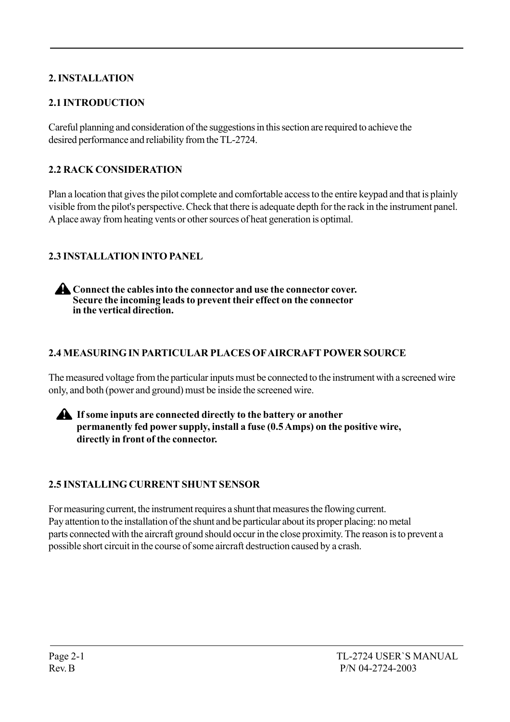## 2. INSTALLATION

## 2.1 INTRODUCTION

Careful planning and consideration of the suggestions in this section are required to achieve the desired performance and reliability from the TL-2724.

## 2.2 RACK CONSIDERATION

Plan a location that gives the pilot complete and comfortable access to the entire keypad and that is plainly visible from the pilot's perspective. Check that there is adequate depth for the rack in the instrument panel. A place away from heating vents or other sources of heat generation is optimal.

## 2.3 INSTALLATION INTO PANEL

Connect the cables into the connector and use the connector cover. Secure the incoming leads to prevent their effect on the connector in the vertical direction.

## 2.4 MEASURING IN PARTICULAR PLACES OF AIRCRAFT POWER SOURCE

The measured voltage from the particular inputs must be connected to the instrument with a screened wire only, and both (power and ground) must be inside the screened wire.



## 2.5 INSTALLING CURRENT SHUNT SENSOR

For measuring current, the instrument requires a shunt that measures the flowing current. Pay attention to the installation of the shunt and be particular about its proper placing: no metal parts connected with the aircraft ground should occur in the close proximity. The reason is to prevent a possible short circuit in the course of some aircraft destruction caused by a crash.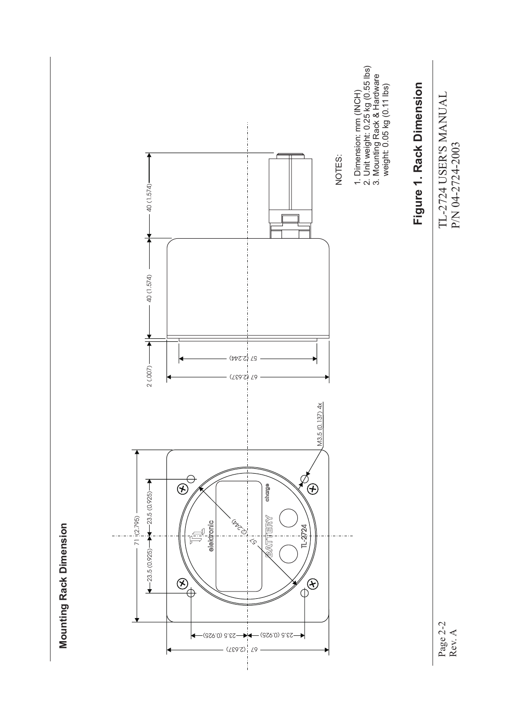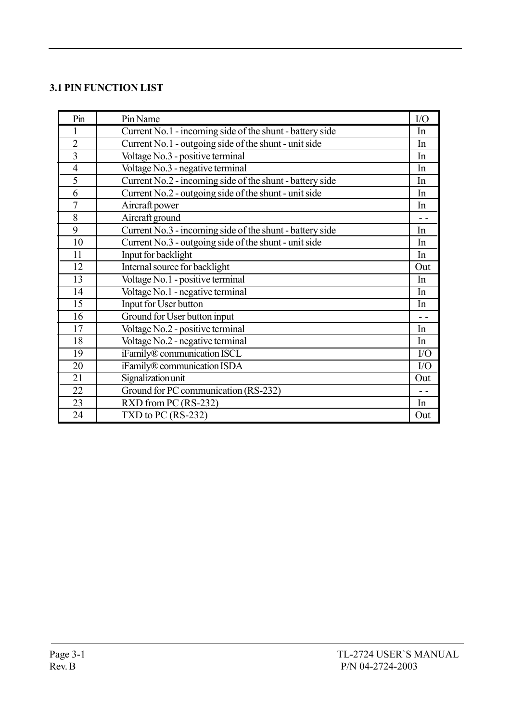#### 3.1 PIN FUNCTION LIST

| Pin             | Pin Name                                                 | I/O            |
|-----------------|----------------------------------------------------------|----------------|
| 1               | Current No.1 - incoming side of the shunt - battery side |                |
| $\overline{2}$  | Current No.1 - outgoing side of the shunt - unit side    |                |
| $\overline{3}$  | Voltage No.3 - positive terminal                         | In             |
| $\overline{4}$  | Voltage No.3 - negative terminal                         | In             |
| 5               | Current No.2 - incoming side of the shunt - battery side | In             |
| 6               | Current No.2 - outgoing side of the shunt - unit side    | In             |
| $\overline{7}$  | Aircraft power                                           | In             |
| 8               | Aircraft ground                                          | $\sim$ $\sim$  |
| 9               | Current No.3 - incoming side of the shunt - battery side | In             |
| 10              | Current No.3 - outgoing side of the shunt - unit side    | In             |
| 11              | Input for backlight                                      | In             |
| 12              | Internal source for backlight                            | Out            |
| 13              | Voltage No.1 - positive terminal                         | In             |
| 14              | Voltage No.1 - negative terminal                         | In             |
| 15              | Input for User button                                    | In             |
| 16              | Ground for User button input                             | $\overline{a}$ |
| 17              | Voltage No.2 - positive terminal                         | In             |
| 18              | Voltage No.2 - negative terminal                         | In             |
| $\overline{19}$ | iFamily® communication ISCL                              | I/O            |
| 20              | iFamily® communication ISDA                              | I/O            |
| 21              | Signalization unit                                       | Out            |
| 22              | Ground for PC communication (RS-232)                     | $ -$           |
| 23              | RXD from PC (RS-232)                                     | In             |
| 24              | TXD to PC $(RS-232)$                                     | Out            |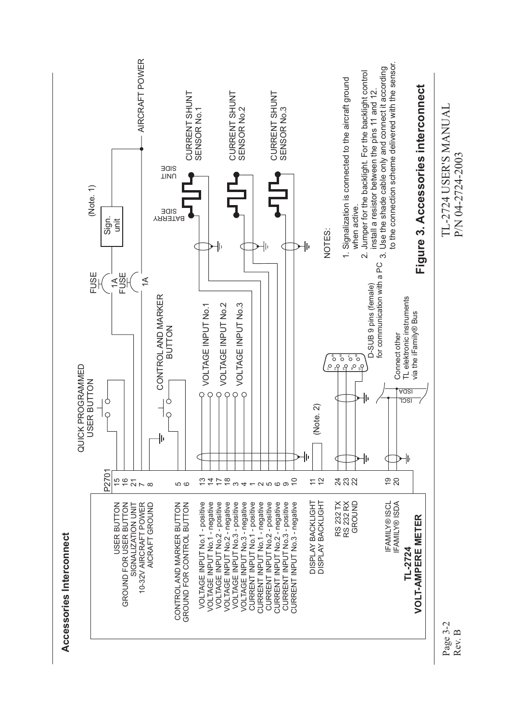

Page 3-2 Rev. B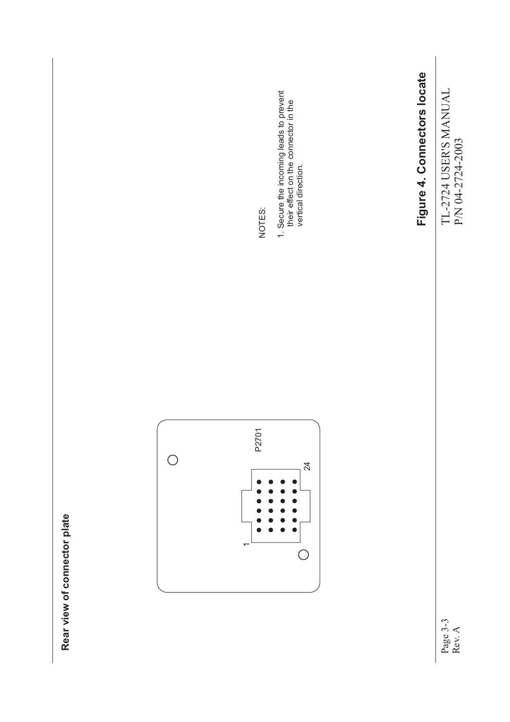

Page 3-3 Rev. A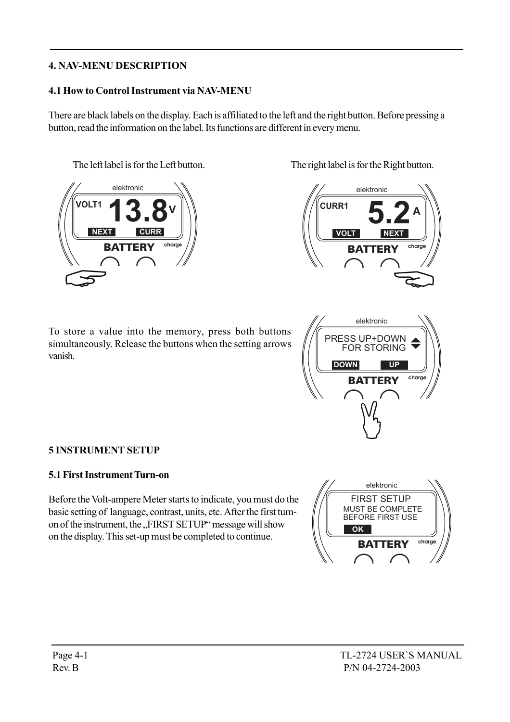## 4. NAV-MENU DESCRIPTION

#### 4.1 How to Control Instrument via NAV-MENU

There are black labels on the display. Each is affiliated to the left and the right button. Before pressing a button, read the information on the label. Its functions are different in every menu.



To store a value into the memory, press both buttons simultaneously. Release the buttons when the setting arrows vanish.

The left label is for the Left button. The right label is for the Right button.





#### 5 INSTRUMENT SETUP

#### 5.1 First Instrument Turn-on

Before the Volt-ampere Meter starts to indicate, you must do the basic setting of language, contrast, units, etc. After the first turnon of the instrument, the "FIRST SETUP" message will show on the display. This set-up must be completed to continue.

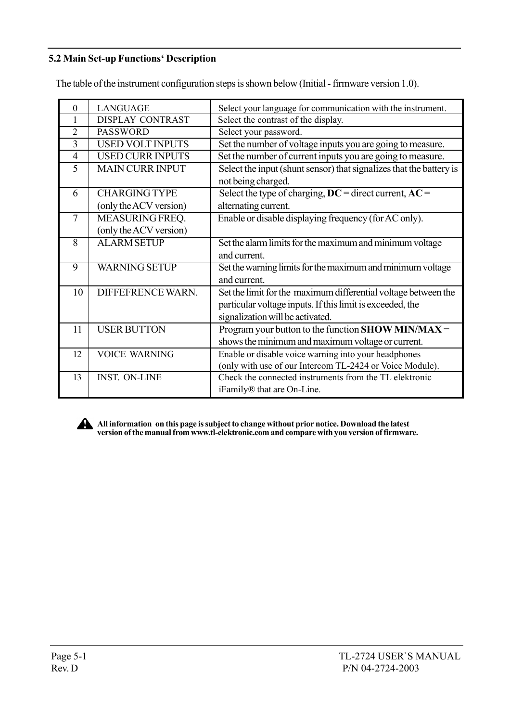## 5.2 Main Set-up Functions' Description

The table of the instrument configuration steps is shown below (Initial - firmware version 1.0).

| 0              | <b>LANGUAGE</b>         | Select your language for communication with the instrument.         |
|----------------|-------------------------|---------------------------------------------------------------------|
|                | DISPLAY CONTRAST        | Select the contrast of the display.                                 |
| $\overline{2}$ | <b>PASSWORD</b>         | Select your password.                                               |
| 3              | <b>USED VOLT INPUTS</b> | Set the number of voltage inputs you are going to measure.          |
| $\overline{4}$ | <b>USED CURR INPUTS</b> | Set the number of current inputs you are going to measure.          |
| 5              | <b>MAIN CURR INPUT</b>  | Select the input (shunt sensor) that signalizes that the battery is |
|                |                         | not being charged.                                                  |
| 6              | <b>CHARGING TYPE</b>    | Select the type of charging, $DC =$ direct current, $AC =$          |
|                | (only the ACV version)  | alternating current.                                                |
| 7              | MEASURING FREQ.         | Enable or disable displaying frequency (for AC only).               |
|                | (only the ACV version)  |                                                                     |
| $\overline{8}$ | <b>ALARM SETUP</b>      | Set the alarm limits for the maximum and minimum voltage            |
|                |                         | and current.                                                        |
| 9              | <b>WARNING SETUP</b>    | Set the warning limits for the maximum and minimum voltage          |
|                |                         | and current.                                                        |
| 10             | DIFFEFRENCE WARN.       | Set the limit for the maximum differential voltage between the      |
|                |                         | particular voltage inputs. If this limit is exceeded, the           |
|                |                         | signalization will be activated.                                    |
| 11             | <b>USER BUTTON</b>      | Program your button to the function SHOW MIN/MAX =                  |
|                |                         | shows the minimum and maximum voltage or current.                   |
| 12             | <b>VOICE WARNING</b>    | Enable or disable voice warning into your headphones                |
|                |                         | (only with use of our Intercom TL-2424 or Voice Module).            |
| 13             | <b>INST. ON-LINE</b>    | Check the connected instruments from the TL elektronic              |
|                |                         | iFamily® that are On-Line.                                          |



All information on this page is subject to change without prior notice. Download the latest version of the manual from www.tl-elektronic.com and compare with you version of firmware.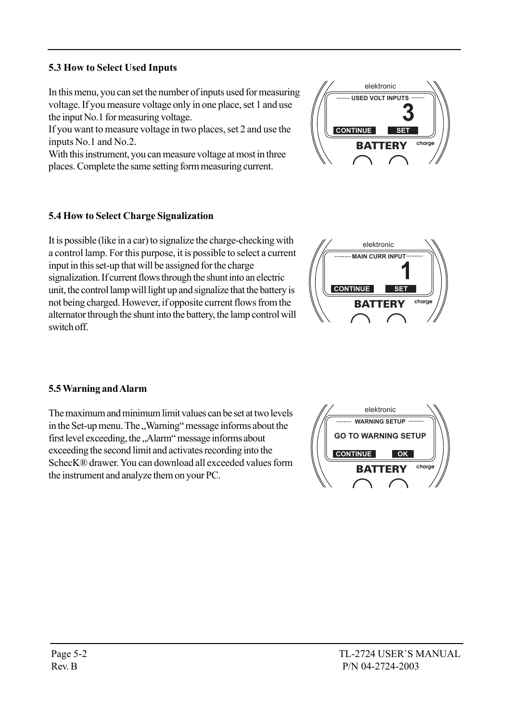## 5.3 How to Select Used Inputs

In this menu, you can set the number of inputs used for measuring voltage. If you measure voltage only in one place, set 1 and use the input No.1 for measuring voltage.

If you want to measure voltage in two places, set 2 and use the inputs No.1 and No.2.

With this instrument, you can measure voltage at most in three places. Complete the same setting form measuring current.

#### 5.4 How to Select Charge Signalization

It is possible (like in a car) to signalize the charge-checking with a control lamp. For this purpose, it is possible to select a current input in this set-up that will be assigned for the charge signalization. If current flows through the shunt into an electric unit, the control lamp will light up and signalize that the battery is not being charged. However, if opposite current flows from the alternator through the shunt into the battery, the lamp control will switch off.

#### 5.5 Warning and Alarm

The maximum and minimum limit values can be set at two levels in the Set-up menu. The "Warning" message informs about the first level exceeding, the "Alarm" message informs about exceeding the second limit and activates recording into the SchecKÆ drawer. You can download all exceeded values form the instrument and analyze them on your PC.





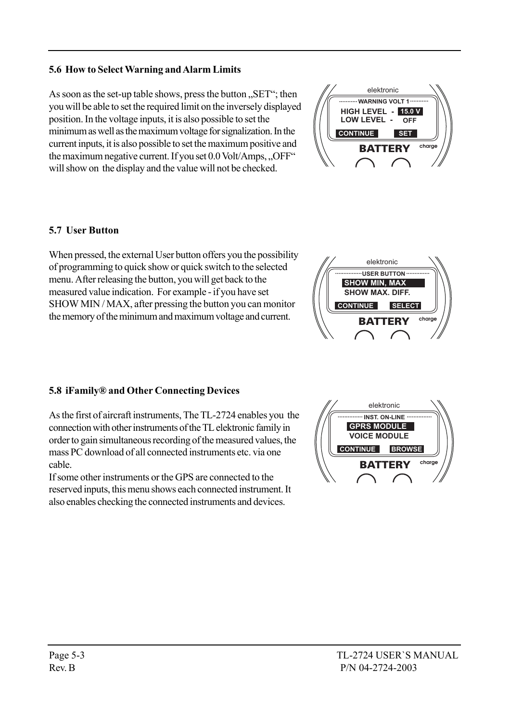## 5.6 How to Select Warning and Alarm Limits

As soon as the set-up table shows, press the button  $\mathcal{R}$ ,  $\mathcal{S}$ ET $\cdot$ ; then you will be able to set the required limit on the inversely displayed position. In the voltage inputs, it is also possible to set the minimum as well as the maximum voltage for signalization. In the current inputs, it is also possible to set the maximum positive and the maximum negative current. If you set  $0.0$  Volt/Amps,  $.$  OFF $\cdot$ <sup>\*</sup> will show on the display and the value will not be checked.

#### 5.7 User Button

When pressed, the external User button offers you the possibility of programming to quick show or quick switch to the selected menu. After releasing the button, you will get back to the measured value indication. For example - if you have set SHOW MIN / MAX, after pressing the button you can monitor the memory of the minimum and maximum voltage and current.

#### 5.8 iFamily<sup>®</sup> and Other Connecting Devices

As the first of aircraft instruments, The TL-2724 enables you the connection with other instruments of the TL elektronic family in order to gain simultaneous recording of the measured values, the mass PC download of all connected instruments etc. via one cable.

If some other instruments or the GPS are connected to the reserved inputs, this menu shows each connected instrument. It also enables checking the connected instruments and devices.





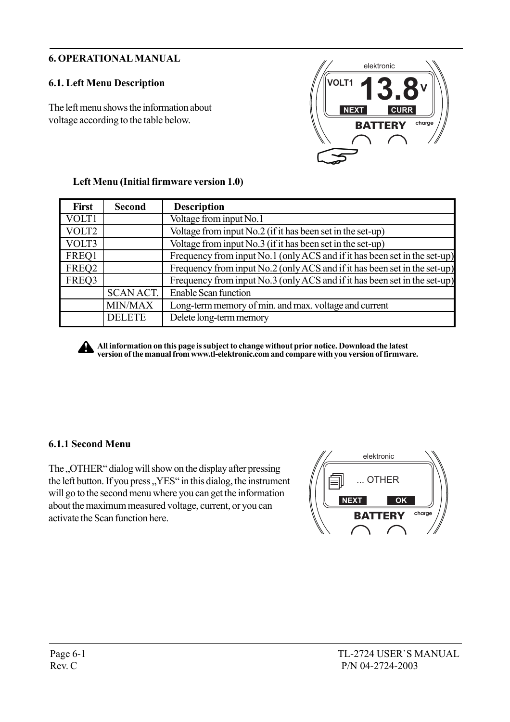## 6. OPERATIONAL MANUAL

## 6.1. Left Menu Description

The left menu shows the information about voltage according to the table below.



| <b>First</b> | <b>Second</b>    | <b>Description</b>                                                        |  |
|--------------|------------------|---------------------------------------------------------------------------|--|
| VOLT1        |                  | Voltage from input No.1                                                   |  |
| VOLT2        |                  | Voltage from input No.2 (if it has been set in the set-up)                |  |
| VOLT3        |                  | Voltage from input No.3 (if it has been set in the set-up)                |  |
| FREQ1        |                  | Frequency from input No.1 (only ACS and if it has been set in the set-up) |  |
| FREQ2        |                  | Frequency from input No.2 (only ACS and if it has been set in the set-up) |  |
| FREQ3        |                  | Frequency from input No.3 (only ACS and if it has been set in the set-up) |  |
|              | <b>SCAN ACT.</b> | <b>Enable Scan function</b>                                               |  |
|              | MIN/MAX          | Long-term memory of min. and max. voltage and current                     |  |
|              | <b>DELETE</b>    | Delete long-term memory                                                   |  |

#### Left Menu (Initial firmware version 1.0)

All information on this page is subject to change without prior notice. Download the latest version of the manual from www.tl-elektronic.com and compare with you version of firmware.

#### 6.1.1 Second Menu

The "OTHER" dialog will show on the display after pressing the left button. If you press, YES<sup>"</sup> in this dialog, the instrument will go to the second menu where you can get the information about the maximum measured voltage, current, or you can activate the Scan function here.

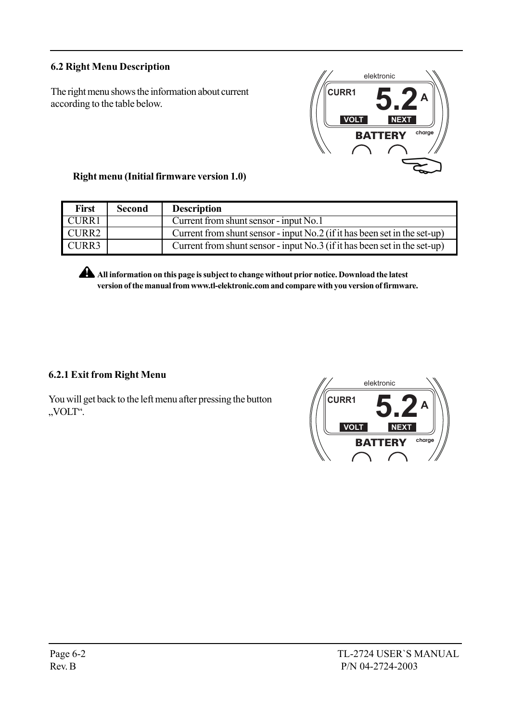## 6.2 Right Menu Description

The right menu shows the information about current according to the table below.



## Right menu (Initial firmware version 1.0)

| <b>First</b> | Second | <b>Description</b>                                                          |
|--------------|--------|-----------------------------------------------------------------------------|
| <b>CURR1</b> |        | Current from shunt sensor - input No.1                                      |
| CURR2        |        | Current from shunt sensor - input No.2 (if it has been set in the set-up)   |
| CURR3        |        | Current from shunt sensor - input $No.3$ (if it has been set in the set-up) |

All information on this page is subject to change without prior notice. Download the latest version of the manual from www.tl-elektronic.com and compare with you version of firmware.

## 6.2.1 Exit from Right Menu

You will get back to the left menu after pressing the button "VOLT".

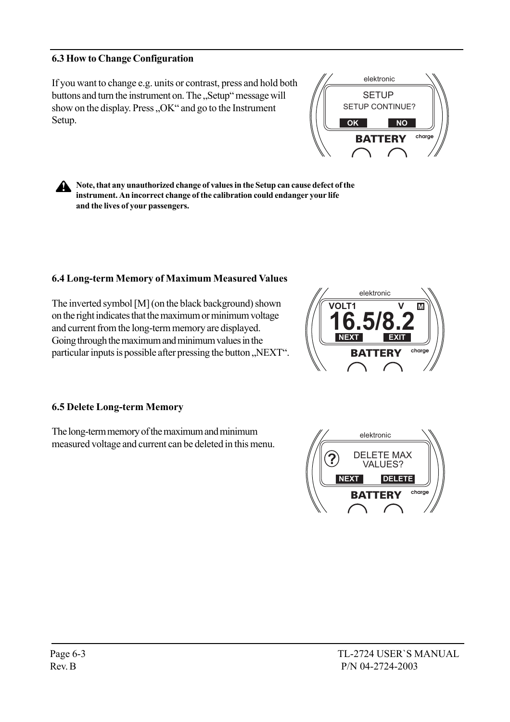#### 6.3 How to Change Configuration

If you want to change e.g. units or contrast, press and hold both buttons and turn the instrument on. The "Setup" message will show on the display. Press " $OK$ " and go to the Instrument Setup.



Note, that any unauthorized change of values in the Setup can cause defect of the  $\mathbf{A}$ instrument. An incorrect change of the calibration could endanger your life and the lives of your passengers.

#### 6.4 Long-term Memory of Maximum Measured Values

The inverted symbol [M] (on the black background) shown on the right indicates that the maximum or minimum voltage and current from the long-term memory are displayed. Going through the maximum and minimum values in the particular inputs is possible after pressing the button "NEXT".



#### 6.5 Delete Long-term Memory

The long-term memory of the maximum and minimum measured voltage and current can be deleted in this menu.

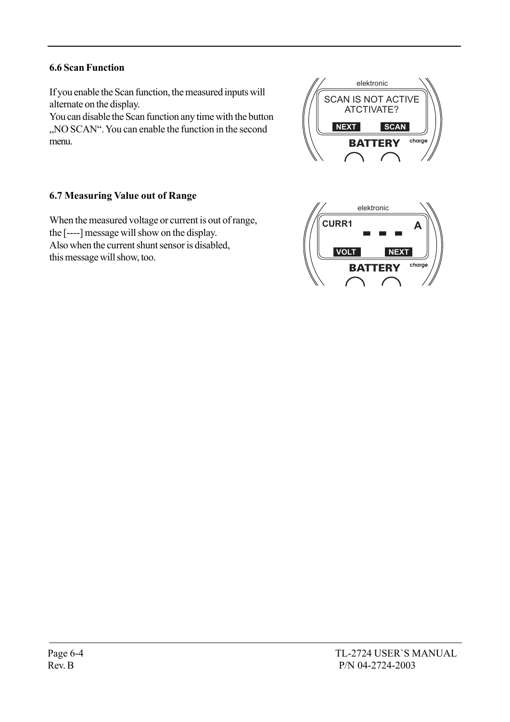## 6.6 Scan Function

If you enable the Scan function, the measured inputs will alternate on the display.

You can disable the Scan function any time with the button "NO SCAN". You can enable the function in the second menu.

## 6.7 Measuring Value out of Range

When the measured voltage or current is out of range, the [----] message will show on the display. Also when the current shunt sensor is disabled, this message will show, too.



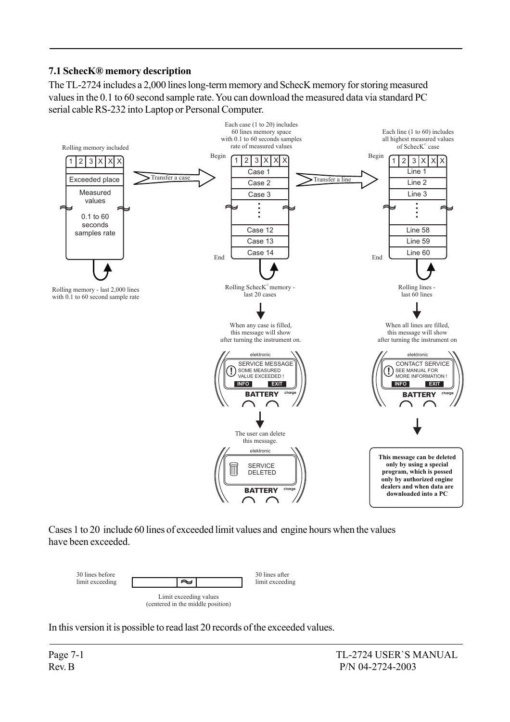## 7.1 SchecKÆ memory description

The TL-2724 includes a 2,000 lines long-term memory and SchecK memory for storing measured values in the 0.1 to 60 second sample rate. You can download the measured data via standard PC serial cable RS-232 into Laptop or Personal Computer.



Cases 1 to 20 include 60 lines of exceeded limit values and engine hours when the values have been exceeded.



In this version it is possible to read last 20 records of the exceeded values.